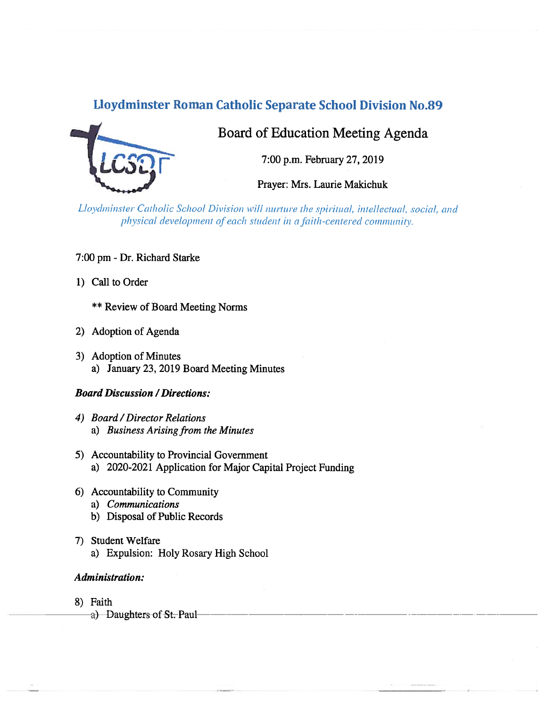# **Lloydminster Roman Catholic Separate School Division No.89**



# Board of Education Meeting Agenda

7:00 p.m. February 27, 2019

Prayer: Mrs. Laurie Makichuk

Lloydminster Catholic School Division will nurture the spiritual, intellectual, social, and physical development of each student in a faith-centered community.

- 7:00 pm Dr. Richard Starke
- 1) Call to Order
	- **\*\* Review of Board Meeting Norms**
- 2) Adoption of Agenda
- 3) Adoption of Minutes a) January 23, 2019 Board Meeting Minutes

## **Board Discussion / Directions:**

- 4) Board / Director Relations a) Business Arising from the Minutes
- 5) Accountability to Provincial Government a) 2020-2021 Application for Major Capital Project Funding
- 6) Accountability to Community
	- a) Communications
	- b) Disposal of Public Records
- 7) Student Welfare a) Expulsion: Holy Rosary High School

## Administration:

- 8) Faith
	- a) Daughters of St. Paul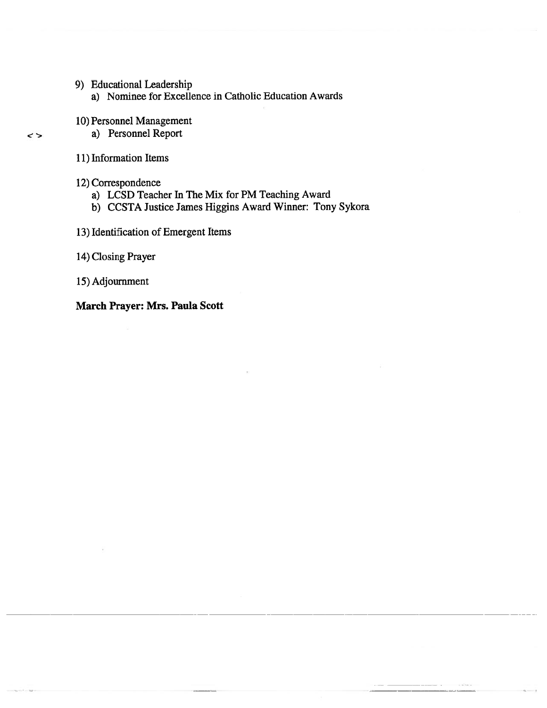- 9) Educational Leadership
	- a) Nominee for Excellence in Catholic Education Awards
- 10) Personnel Management
	- a) Personnel Report
- 11) Information Items

 $\leftrightarrow$ 

# 12) Correspondence

- a) LCSD Teacher In The Mix for PM Teaching Award
- b) CCSTA Justice James Higgins Award Winner: Tony Sykora

\_\_\_\_

والمراجع والمسترد والمسو

13) Identification of Emergent Items

14) Closing Prayer

15) Adjournment

# March Prayer: Mrs. Paula Scott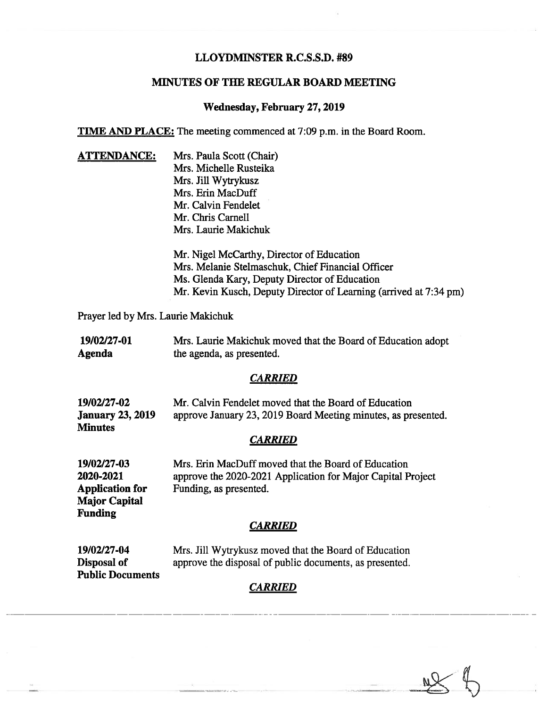#### LLOYDMINSTER R.C.S.S.D. #89

#### MINUTES OF THE REGULAR BOARD MEETING

#### Wednesday, February 27,2019

TIME AND PLACE: The meeting commenced at 7:09 p.m. in the Board Room.

| Mrs. Paula Scott (Chair) |
|--------------------------|
| Mrs. Michelle Rusteika   |
| Mrs. Jill Wytrykusz      |
| Mrs. Erin MacDuff        |
| Mr. Calvin Fendelet      |
| Mr. Chris Carnell        |
| Mrs. Laurie Makichuk     |
|                          |

Mr. Nigel McCarthy, Director of Education Mrs. Melanie Stelmaschuk, Chief Financial Officer Ms. Glenda Kary, Deputy Director of Education Mr. Kevin Kusch, Deputy Director of Learning (arrived at 7:34 pm)

Prayer led by Mrs. Laurie Makichuk

Funding

| 19/02/27-01 | Mrs. Laurie Makichuk moved that the Board of Education adopt |
|-------------|--------------------------------------------------------------|
| Agenda      | the agenda, as presented.                                    |

### **CARRIED**

| 19/02/27-02             | Mr. Calvin Fendelet moved that the Board of Education         |
|-------------------------|---------------------------------------------------------------|
| <b>January 23, 2019</b> | approve January 23, 2019 Board Meeting minutes, as presented. |
| <b>Minutes</b>          |                                                               |

#### CARRIED

19/02/27-03 Mrs. Erin MacDuff moved that the Board of Education 2020-2021 approve the 2020-2021 Application for Major Capital Project Application for Funding, as presented. Major Capital

#### **CARRIED**

19/02/27-04 Mrs. Jill Wytrykusz moved that the Board of Education **Disposal of** approve the disposal of public documents, as presented. Public Documents

#### **CARRIED**